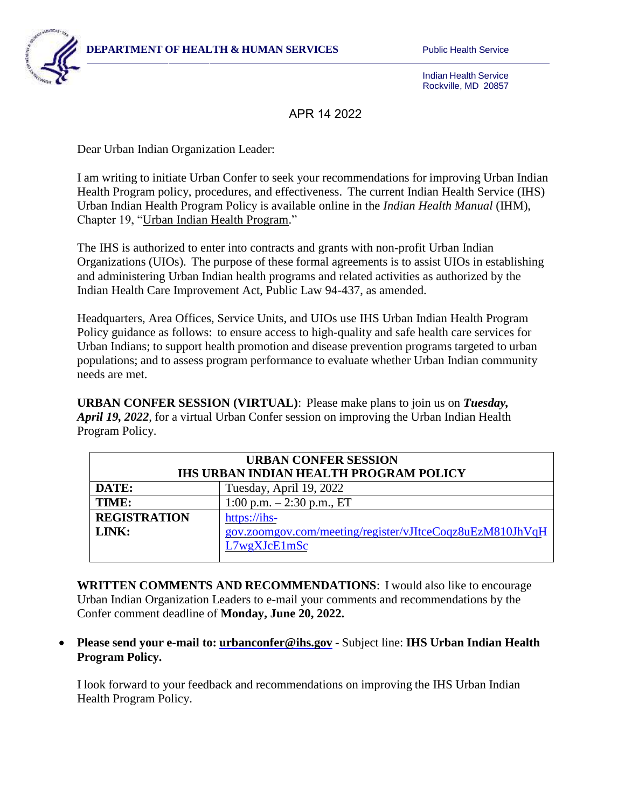

Indian Health Service Rockville, MD 20857

APR 14 2022

Dear Urban Indian Organization Leader:

I am writing to initiate Urban Confer to seek your recommendations for improving Urban Indian Health Program policy, procedures, and effectiveness. The current Indian Health Service (IHS) Urban Indian Health Program Policy is available online in the *Indian Health Manual* (IHM), Chapter 19, ["Urban Indian Health Program."](https://www.ihs.gov/ihm/pc/part-3/p3c19/)

The IHS is authorized to enter into contracts and grants with non-profit Urban Indian Organizations (UIOs). The purpose of these formal agreements is to assist UIOs in establishing and administering Urban Indian health programs and related activities as authorized by the Indian Health Care Improvement Act, Public Law 94-437, as amended.

Headquarters, Area Offices, Service Units, and UIOs use IHS Urban Indian Health Program Policy guidance as follows: to ensure access to high-quality and safe health care services for Urban Indians; to support health promotion and disease prevention programs targeted to urban populations; and to assess program performance to evaluate whether Urban Indian community needs are met.

**URBAN CONFER SESSION (VIRTUAL)**: Please make plans to join us on *Tuesday, April 19, 2022*, for a virtual Urban Confer session on improving the Urban Indian Health Program Policy.

| <b>URBAN CONFER SESSION</b><br><b>IHS URBAN INDIAN HEALTH PROGRAM POLICY</b> |                                                          |
|------------------------------------------------------------------------------|----------------------------------------------------------|
| DATE:                                                                        | Tuesday, April 19, 2022                                  |
| TIME:                                                                        | 1:00 p.m. $-2:30$ p.m., ET                               |
| <b>REGISTRATION</b>                                                          | https://ihs-                                             |
| LINK:                                                                        | gov.zoomgov.com/meeting/register/vJItceCoqz8uEzM810JhVqH |
|                                                                              | L7wgXJcE1mSc                                             |

**WRITTEN COMMENTS AND RECOMMENDATIONS**: I would also like to encourage Urban Indian Organization Leaders to e-mail your comments and recommendations by the Confer comment deadline of **Monday, June 20, 2022.** 

## **Please send your e-mail to: [urbanconfer@ihs.gov](mailto:urbanconfer@ihs.gov)** - Subject line: **IHS Urban Indian Health Program Policy.**

I look forward to your feedback and recommendations on improving the IHS Urban Indian Health Program Policy.